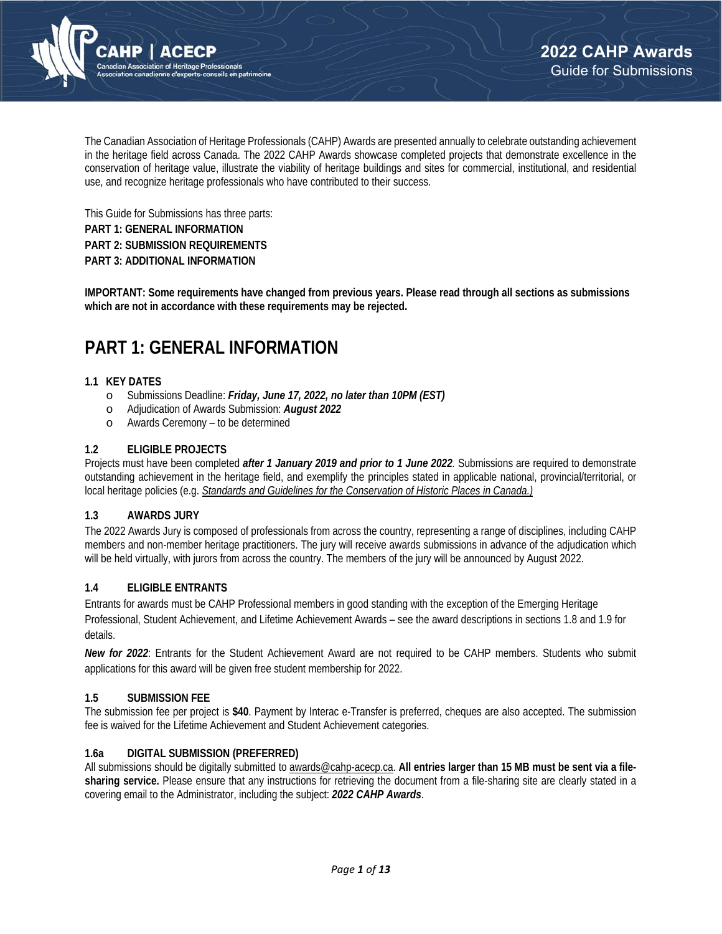

The Canadian Association of Heritage Professionals (CAHP) Awards are presented annually to celebrate outstanding achievement in the heritage field across Canada. The 2022 CAHP Awards showcase completed projects that demonstrate excellence in the conservation of heritage value, illustrate the viability of heritage buildings and sites for commercial, institutional, and residential use, and recognize heritage professionals who have contributed to their success.

This Guide for Submissions has three parts: **PART 1: GENERAL INFORMATION PART 2: SUBMISSION REQUIREMENTS PART 3: ADDITIONAL INFORMATION** 

**IMPORTANT: Some requirements have changed from previous years. Please read through all sections as submissions which are not in accordance with these requirements may be rejected.**

# **PART 1: GENERAL INFORMATION**

## **1.1 KEY DATES**

- o Submissions Deadline: *Friday, June 17, 2022, no later than 10PM (EST)*
- o Adjudication of Awards Submission: *August 2022*
- o Awards Ceremony to be determined

### **1.2 ELIGIBLE PROJECTS**

Projects must have been completed *after 1 January 2019 and prior to 1 June 2022.* Submissions are required to demonstrate outstanding achievement in the heritage field, and exemplify the principles stated in applicable national, provincial/territorial, or local heritage policies (e.g. *Standards and Guidelines for the Conservation of Historic Places in Canada.)*

#### **1.3 AWARDS JURY**

The 2022 Awards Jury is composed of professionals from across the country, representing a range of disciplines, including CAHP members and non-member heritage practitioners. The jury will receive awards submissions in advance of the adjudication which will be held virtually, with jurors from across the country. The members of the jury will be announced by August 2022.

## **1.4 ELIGIBLE ENTRANTS**

Entrants for awards must be CAHP Professional members in good standing with the exception of the Emerging Heritage Professional, Student Achievement, and Lifetime Achievement Awards – see the award descriptions in sections 1.8 and 1.9 for details.

*New for 2022*: Entrants for the Student Achievement Award are not required to be CAHP members. Students who submit applications for this award will be given free student membership for 2022.

## **1.5 SUBMISSION FEE**

The submission fee per project is **\$40**. Payment by Interac e-Transfer is preferred, cheques are also accepted. The submission fee is waived for the Lifetime Achievement and Student Achievement categories.

## **1.6a DIGITAL SUBMISSION (PREFERRED)**

All submissions should be digitally submitted to awards@cahp-acecp.ca. **All entries larger than 15 MB must be sent via a filesharing service.** Please ensure that any instructions for retrieving the document from a file-sharing site are clearly stated in a covering email to the Administrator, including the subject: *2022 CAHP Awards*.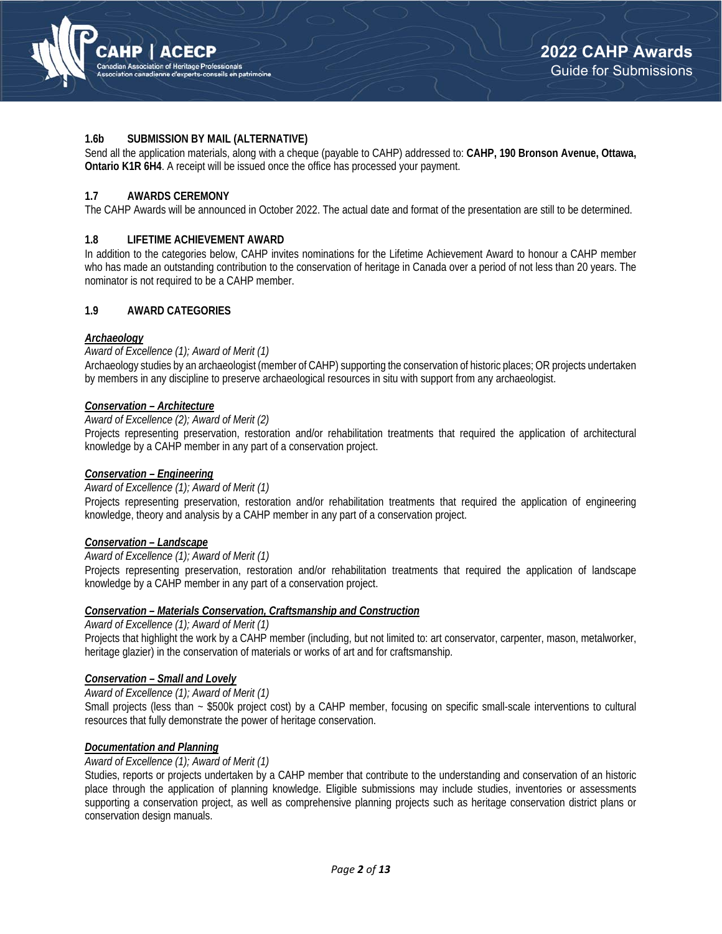

#### **1.6b SUBMISSION BY MAIL (ALTERNATIVE)**

Send all the application materials, along with a cheque (payable to CAHP) addressed to: **CAHP, 190 Bronson Avenue, Ottawa, Ontario K1R 6H4**. A receipt will be issued once the office has processed your payment.

### **1.7 AWARDS CEREMONY**

The CAHP Awards will be announced in October 2022. The actual date and format of the presentation are still to be determined.

### **1.8 LIFETIME ACHIEVEMENT AWARD**

In addition to the categories below, CAHP invites nominations for the Lifetime Achievement Award to honour a CAHP member who has made an outstanding contribution to the conservation of heritage in Canada over a period of not less than 20 years. The nominator is not required to be a CAHP member.

## **1.9 AWARD CATEGORIES**

#### *Archaeology*

#### *Award of Excellence (1); Award of Merit (1)*

Archaeology studies by an archaeologist (member of CAHP) supporting the conservation of historic places; OR projects undertaken by members in any discipline to preserve archaeological resources in situ with support from any archaeologist.

## *Conservation – Architecture*

#### *Award of Excellence (2); Award of Merit (2)*

Projects representing preservation, restoration and/or rehabilitation treatments that required the application of architectural knowledge by a CAHP member in any part of a conservation project.

### *Conservation – Engineering*

#### *Award of Excellence (1); Award of Merit (1)*

Projects representing preservation, restoration and/or rehabilitation treatments that required the application of engineering knowledge, theory and analysis by a CAHP member in any part of a conservation project.

#### *Conservation – Landscape*

#### *Award of Excellence (1); Award of Merit (1)*

Projects representing preservation, restoration and/or rehabilitation treatments that required the application of landscape knowledge by a CAHP member in any part of a conservation project.

#### *Conservation – Materials Conservation, Craftsmanship and Construction*

*Award of Excellence (1); Award of Merit (1)* 

Projects that highlight the work by a CAHP member (including, but not limited to: art conservator, carpenter, mason, metalworker, heritage glazier) in the conservation of materials or works of art and for craftsmanship.

## *Conservation – Small and Lovely*

*Award of Excellence (1); Award of Merit (1)*

Small projects (less than ~ \$500k project cost) by a CAHP member, focusing on specific small-scale interventions to cultural resources that fully demonstrate the power of heritage conservation.

### *Documentation and Planning*

#### *Award of Excellence (1); Award of Merit (1)*

Studies, reports or projects undertaken by a CAHP member that contribute to the understanding and conservation of an historic place through the application of planning knowledge. Eligible submissions may include studies, inventories or assessments supporting a conservation project, as well as comprehensive planning projects such as heritage conservation district plans or conservation design manuals.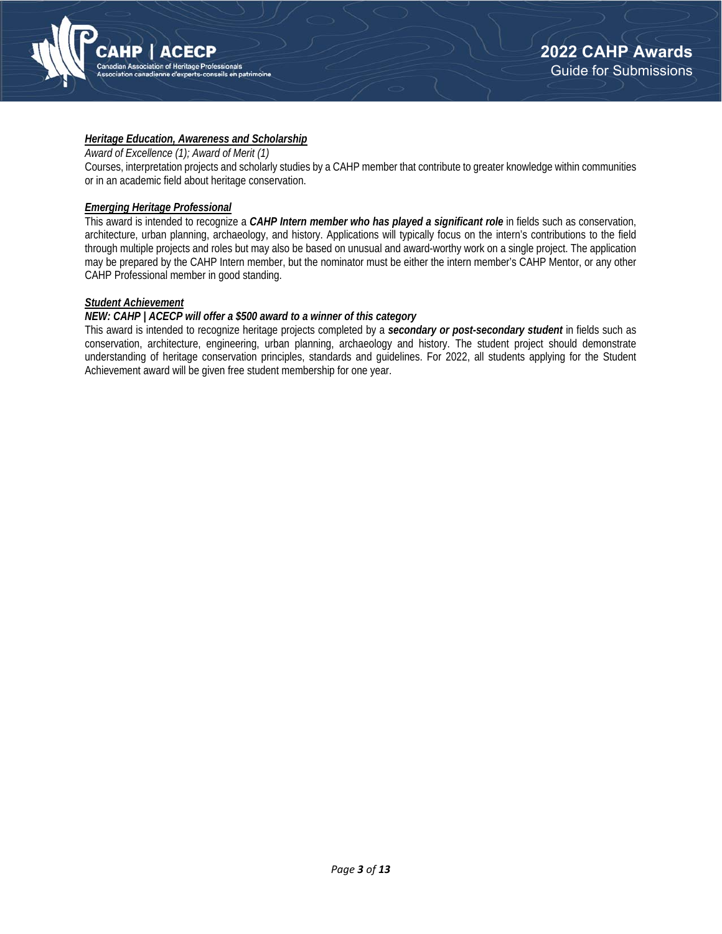

## *Heritage Education, Awareness and Scholarship*

*Award of Excellence (1); Award of Merit (1)*

Courses, interpretation projects and scholarly studies by a CAHP member that contribute to greater knowledge within communities or in an academic field about heritage conservation.

#### *Emerging Heritage Professional*

This award is intended to recognize a *CAHP Intern member who has played a significant role* in fields such as conservation, architecture, urban planning, archaeology, and history. Applications will typically focus on the intern's contributions to the field through multiple projects and roles but may also be based on unusual and award-worthy work on a single project. The application may be prepared by the CAHP Intern member, but the nominator must be either the intern member's CAHP Mentor, or any other CAHP Professional member in good standing.

## *Student Achievement*

### *NEW: CAHP | ACECP will offer a \$500 award to a winner of this category*

This award is intended to recognize heritage projects completed by a *secondary or post-secondary student* in fields such as conservation, architecture, engineering, urban planning, archaeology and history. The student project should demonstrate understanding of heritage conservation principles, standards and guidelines. For 2022, all students applying for the Student Achievement award will be given free student membership for one year.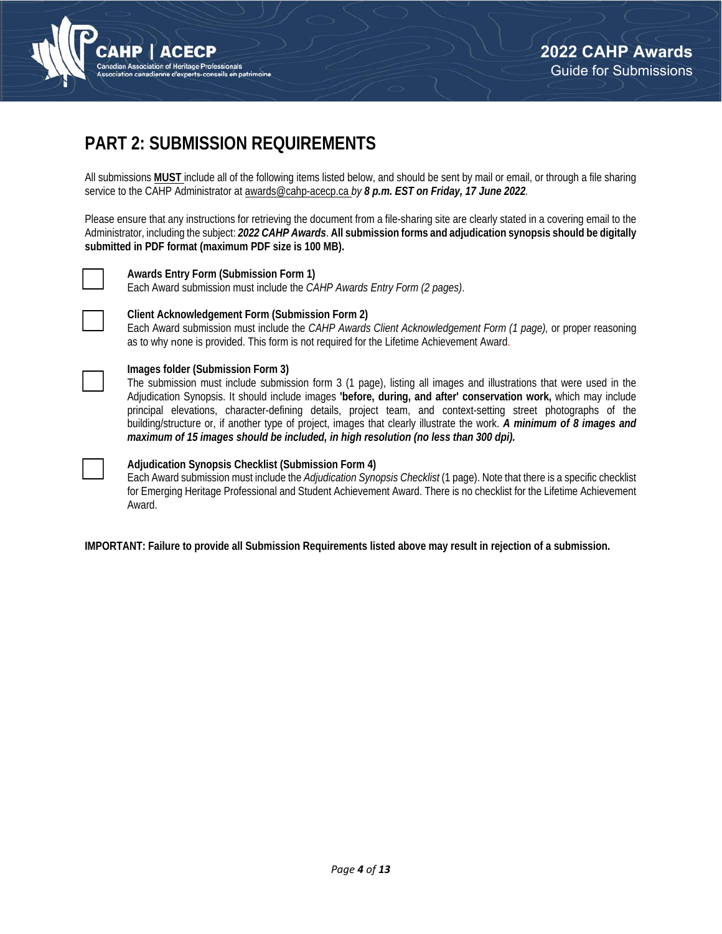

# **PART 2: SUBMISSION REQUIREMENTS**

All submissions **MUST** include all of the following items listed below, and should be sent by mail or email, or through a file sharing service to the CAHP Administrator at awards@cahp-acecp.ca *by 8 p.m. EST on Friday, 17 June 2022.* 

Please ensure that any instructions for retrieving the document from a file-sharing site are clearly stated in a covering email to the Administrator, including the subject: *2022 CAHP Awards*. **All submission forms and adjudication synopsis should be digitally submitted in PDF format (maximum PDF size is 100 MB).**



#### **Awards Entry Form (Submission Form 1)**

Each Award submission must include the *CAHP Awards Entry Form (2 pages)*.



#### **Client Acknowledgement Form (Submission Form 2)**

Each Award submission must include the *CAHP Awards Client Acknowledgement Form (1 page),* or proper reasoning as to why none is provided. This form is not required for the Lifetime Achievement Award.



## **Images folder (Submission Form 3)**

The submission must include submission form 3 (1 page), listing all images and illustrations that were used in the Adjudication Synopsis. It should include images **'before, during, and after' conservation work,** which may include principal elevations, character-defining details, project team, and context-setting street photographs of the building/structure or, if another type of project, images that clearly illustrate the work. *A minimum of 8 images and maximum of 15 images should be included, in high resolution (no less than 300 dpi).*



## **Adjudication Synopsis Checklist (Submission Form 4)**

Each Award submission must include the *Adjudication Synopsis Checklist* (1 page). Note that there is a specific checklist for Emerging Heritage Professional and Student Achievement Award. There is no checklist for the Lifetime Achievement Award.

**IMPORTANT: Failure to provide all Submission Requirements listed above may result in rejection of a submission.**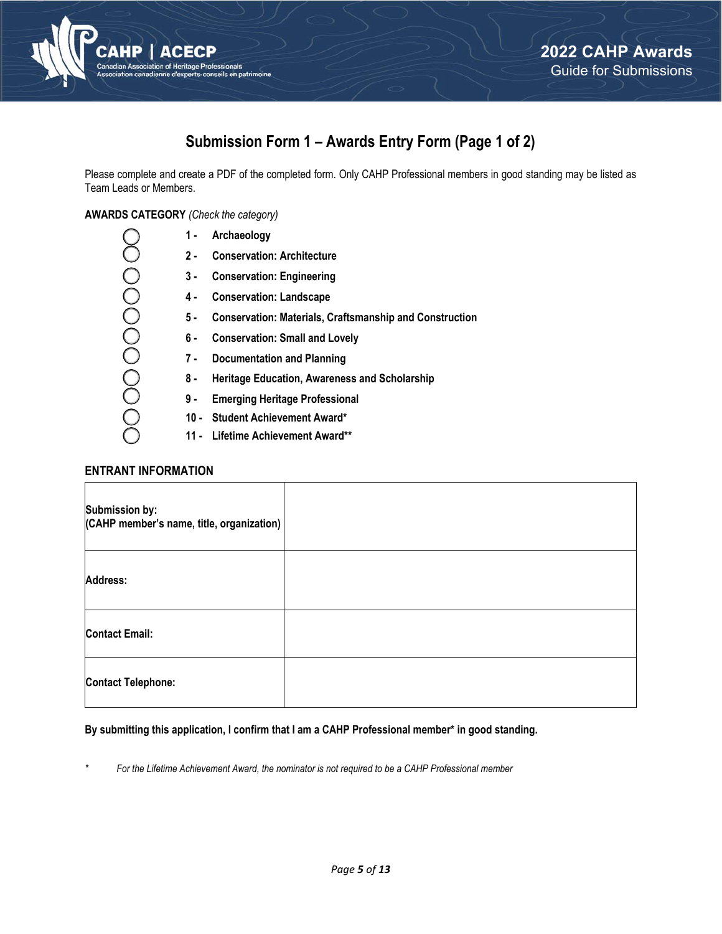

## **Submission Form 1 – Awards Entry Form (Page 1 of 2)**

Please complete and create a PDF of the completed form. Only CAHP Professional members in good standing may be listed as Team Leads or Members.

**AWARDS CATEGORY** *(Check the category)*

| 1 -  | Archaeology                                                    |
|------|----------------------------------------------------------------|
| 2 -  | <b>Conservation: Architecture</b>                              |
| 3 -  | <b>Conservation: Engineering</b>                               |
| 4 -  | <b>Conservation: Landscape</b>                                 |
| 5 -  | <b>Conservation: Materials, Craftsmanship and Construction</b> |
| 6 -  | <b>Conservation: Small and Lovely</b>                          |
| 7 -  | <b>Documentation and Planning</b>                              |
| 8 -  | <b>Heritage Education, Awareness and Scholarship</b>           |
| 9 -  | <b>Emerging Heritage Professional</b>                          |
| 10 - | <b>Student Achievement Award*</b>                              |
| 11 - | <b>Lifetime Achievement Award**</b>                            |
|      |                                                                |

## **ENTRANT INFORMATION**

| <b>Submission by:</b><br>(CAHP member's name, title, organization) |  |
|--------------------------------------------------------------------|--|
| Address:                                                           |  |
| <b>Contact Email:</b>                                              |  |
| <b>Contact Telephone:</b>                                          |  |

## **By submitting this application, I confirm that I am a CAHP Professional member\* in good standing.**

*\* For the Lifetime Achievement Award, the nominator is not required to be a CAHP Professional member*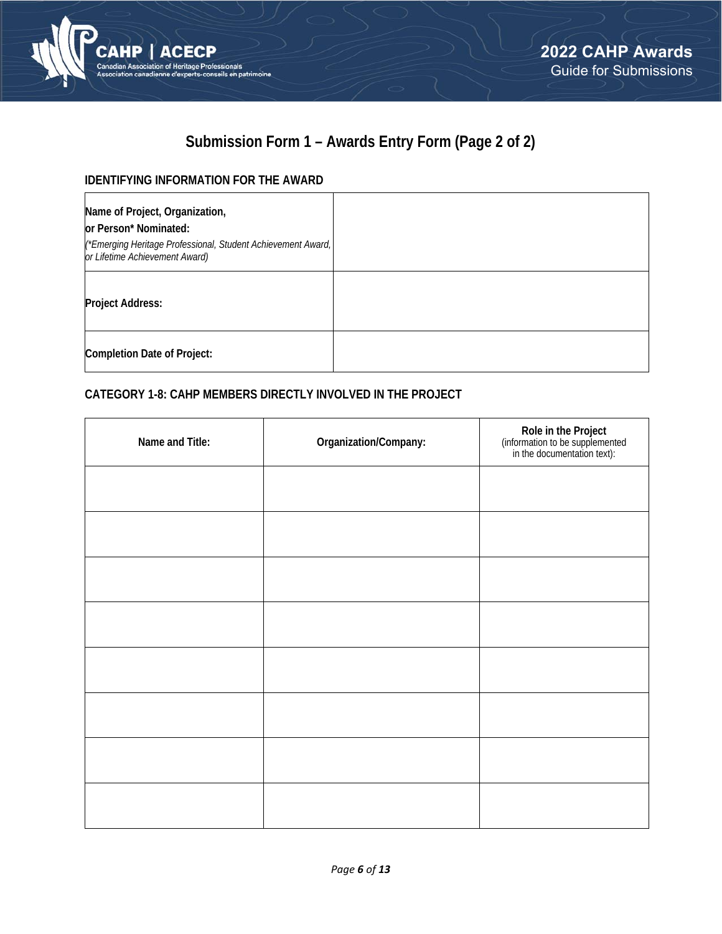

# **Submission Form 1 – Awards Entry Form (Page 2 of 2)**

## **IDENTIFYING INFORMATION FOR THE AWARD**

| Name of Project, Organization,<br>or Person* Nominated:<br>(*Emerging Heritage Professional, Student Achievement Award,<br>or Lifetime Achievement Award) |  |
|-----------------------------------------------------------------------------------------------------------------------------------------------------------|--|
| <b>Project Address:</b>                                                                                                                                   |  |
| <b>Completion Date of Project:</b>                                                                                                                        |  |

## **CATEGORY 1-8: CAHP MEMBERS DIRECTLY INVOLVED IN THE PROJECT**

| Name and Title: | Organization/Company: | Role in the Project<br>(information to be supplemented<br>in the documentation text): |
|-----------------|-----------------------|---------------------------------------------------------------------------------------|
|                 |                       |                                                                                       |
|                 |                       |                                                                                       |
|                 |                       |                                                                                       |
|                 |                       |                                                                                       |
|                 |                       |                                                                                       |
|                 |                       |                                                                                       |
|                 |                       |                                                                                       |
|                 |                       |                                                                                       |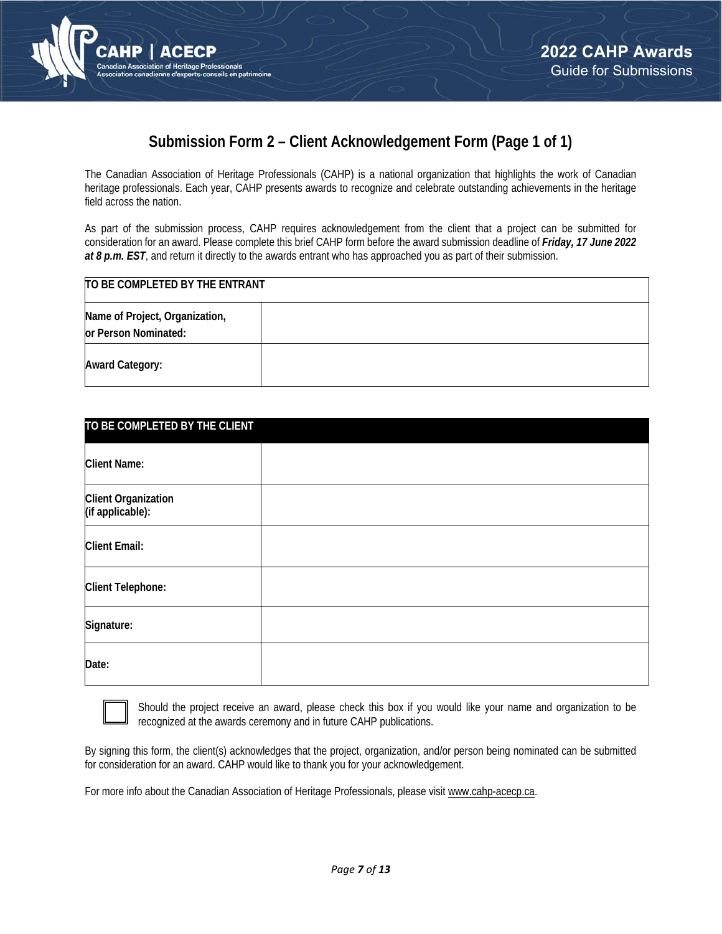



## **Submission Form 2 – Client Acknowledgement Form (Page 1 of 1)**

The Canadian Association of Heritage Professionals (CAHP) is a national organization that highlights the work of Canadian heritage professionals. Each year, CAHP presents awards to recognize and celebrate outstanding achievements in the heritage field across the nation.

As part of the submission process, CAHP requires acknowledgement from the client that a project can be submitted for consideration for an award. Please complete this brief CAHP form before the award submission deadline of *Friday, 17 June 2022 at 8 p.m. EST*, and return it directly to the awards entrant who has approached you as part of their submission.

| TO BE COMPLETED BY THE ENTRANT                         |  |  |  |  |
|--------------------------------------------------------|--|--|--|--|
| Name of Project, Organization,<br>or Person Nominated: |  |  |  |  |
| <b>Award Category:</b>                                 |  |  |  |  |

| TO BE COMPLETED BY THE CLIENT           |  |  |  |  |  |
|-----------------------------------------|--|--|--|--|--|
| <b>Client Name:</b>                     |  |  |  |  |  |
| Client Organization<br>(if applicable): |  |  |  |  |  |
| <b>Client Email:</b>                    |  |  |  |  |  |
| <b>Client Telephone:</b>                |  |  |  |  |  |
| Signature:                              |  |  |  |  |  |
| Date:                                   |  |  |  |  |  |



Should the project receive an award, please check this box if you would like your name and organization to be recognized at the awards ceremony and in future CAHP publications.

By signing this form, the client(s) acknowledges that the project, organization, and/or person being nominated can be submitted for consideration for an award. CAHP would like to thank you for your acknowledgement.

For more info about the Canadian Association of Heritage Professionals, please visit www.cahp-acecp.ca.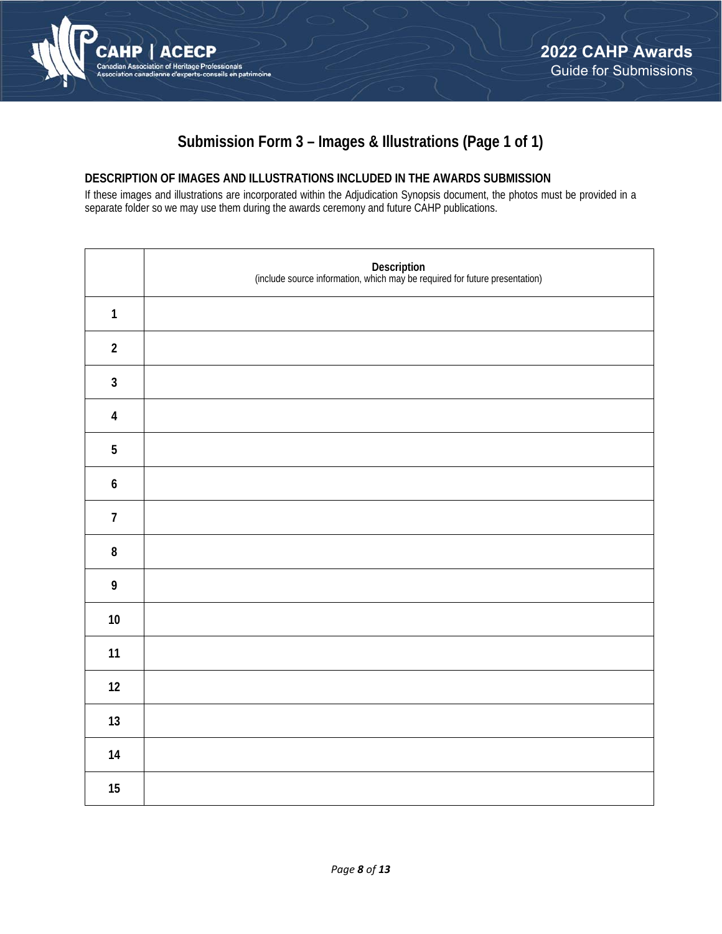

## **Submission Form 3 – Images & Illustrations (Page 1 of 1)**

## **DESCRIPTION OF IMAGES AND ILLUSTRATIONS INCLUDED IN THE AWARDS SUBMISSION**

If these images and illustrations are incorporated within the Adjudication Synopsis document, the photos must be provided in a separate folder so we may use them during the awards ceremony and future CAHP publications.

|                         | Description<br>(include source information, which may be required for future presentation) |
|-------------------------|--------------------------------------------------------------------------------------------|
| $\mathbf{1}$            |                                                                                            |
| $\sqrt{2}$              |                                                                                            |
| $\mathbf{3}$            |                                                                                            |
| $\overline{\mathbf{4}}$ |                                                                                            |
| $\sqrt{5}$              |                                                                                            |
| $\boldsymbol{6}$        |                                                                                            |
| $\overline{7}$          |                                                                                            |
| ${\bf 8}$               |                                                                                            |
| $\boldsymbol{9}$        |                                                                                            |
| $10\,$                  |                                                                                            |
| 11                      |                                                                                            |
| 12                      |                                                                                            |
| 13                      |                                                                                            |
| $14$                    |                                                                                            |
| $15\,$                  |                                                                                            |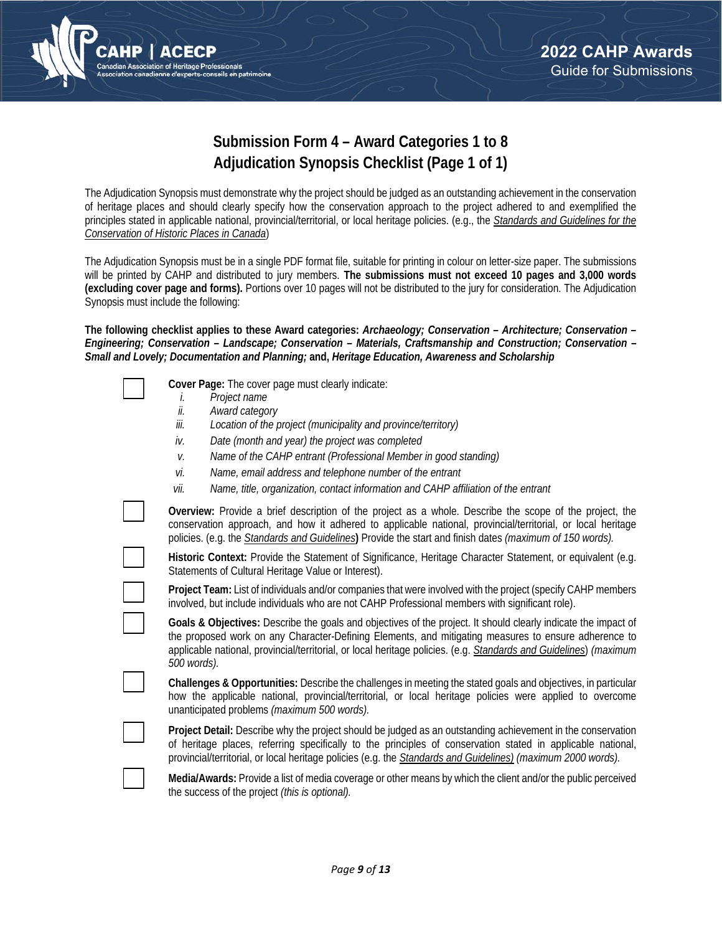

## **Submission Form 4 – Award Categories 1 to 8 Adjudication Synopsis Checklist (Page 1 of 1)**

The Adjudication Synopsis must demonstrate why the project should be judged as an outstanding achievement in the conservation of heritage places and should clearly specify how the conservation approach to the project adhered to and exemplified the principles stated in applicable national, provincial/territorial, or local heritage policies. (e.g., the *Standards and Guidelines for the Conservation of Historic Places in Canada*)

The Adjudication Synopsis must be in a single PDF format file, suitable for printing in colour on letter-size paper. The submissions will be printed by CAHP and distributed to jury members. **The submissions must not exceed 10 pages and 3,000 words (excluding cover page and forms).** Portions over 10 pages will not be distributed to the jury for consideration. The Adjudication Synopsis must include the following:

**The following checklist applies to these Award categories:** *Archaeology; Conservation – Architecture; Conservation – Engineering; Conservation – Landscape; Conservation – Materials, Craftsmanship and Construction; Conservation – Small and Lovely; Documentation and Planning;* **and,** *Heritage Education, Awareness and Scholarship*

| Cover Page: The cover page must clearly indicate:                                                                                                                                                                                                                                                                                                          |
|------------------------------------------------------------------------------------------------------------------------------------------------------------------------------------------------------------------------------------------------------------------------------------------------------------------------------------------------------------|
| Project name<br>I.<br>ii.                                                                                                                                                                                                                                                                                                                                  |
| Award category<br>iii.<br>Location of the project (municipality and province/territory)                                                                                                                                                                                                                                                                    |
| Date (month and year) the project was completed<br>iv.                                                                                                                                                                                                                                                                                                     |
| Name of the CAHP entrant (Professional Member in good standing)<br>V.                                                                                                                                                                                                                                                                                      |
| Name, email address and telephone number of the entrant<br>vi.                                                                                                                                                                                                                                                                                             |
| Name, title, organization, contact information and CAHP affiliation of the entrant<br>vii.                                                                                                                                                                                                                                                                 |
| Overview: Provide a brief description of the project as a whole. Describe the scope of the project, the<br>conservation approach, and how it adhered to applicable national, provincial/territorial, or local heritage<br>policies. (e.g. the Standards and Guidelines) Provide the start and finish dates (maximum of 150 words).                         |
| Historic Context: Provide the Statement of Significance, Heritage Character Statement, or equivalent (e.g.<br>Statements of Cultural Heritage Value or Interest).                                                                                                                                                                                          |
| Project Team: List of individuals and/or companies that were involved with the project (specify CAHP members<br>involved, but include individuals who are not CAHP Professional members with significant role).                                                                                                                                            |
| Goals & Objectives: Describe the goals and objectives of the project. It should clearly indicate the impact of<br>the proposed work on any Character-Defining Elements, and mitigating measures to ensure adherence to<br>applicable national, provincial/territorial, or local heritage policies. (e.g. Standards and Guidelines) (maximum<br>500 words). |
| Challenges & Opportunities: Describe the challenges in meeting the stated goals and objectives, in particular<br>how the applicable national, provincial/territorial, or local heritage policies were applied to overcome<br>unanticipated problems (maximum 500 words).                                                                                   |
| Project Detail: Describe why the project should be judged as an outstanding achievement in the conservation<br>of heritage places, referring specifically to the principles of conservation stated in applicable national,<br>provincial/territorial, or local heritage policies (e.g. the Standards and Guidelines) (maximum 2000 words).                 |
| Media/Awards: Provide a list of media coverage or other means by which the client and/or the public perceived<br>the success of the project (this is optional).                                                                                                                                                                                            |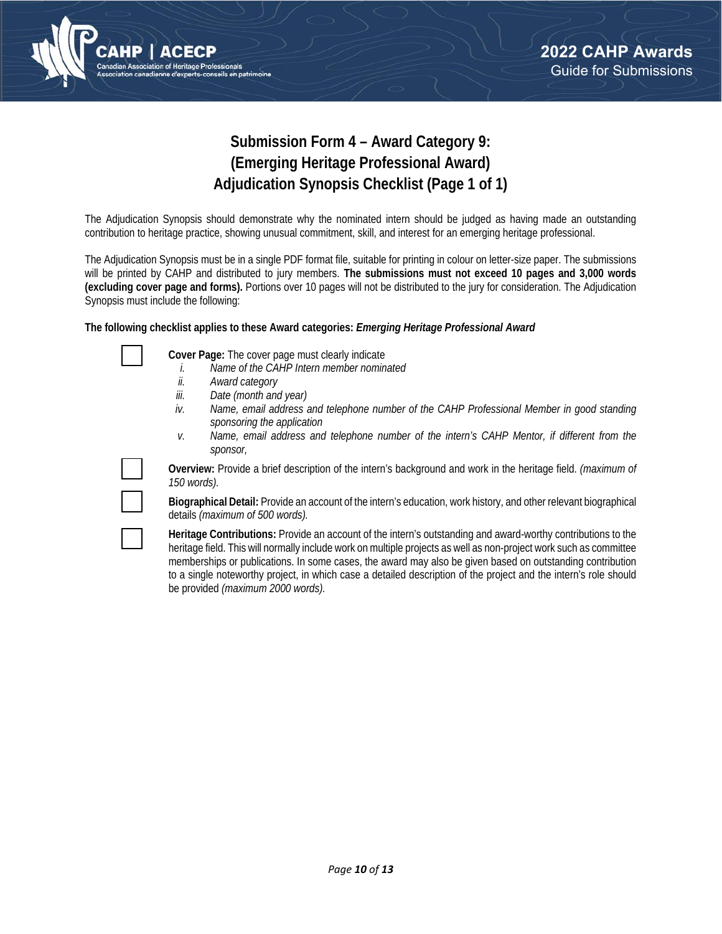

## **Submission Form 4 – Award Category 9: (Emerging Heritage Professional Award) Adjudication Synopsis Checklist (Page 1 of 1)**

The Adjudication Synopsis should demonstrate why the nominated intern should be judged as having made an outstanding contribution to heritage practice, showing unusual commitment, skill, and interest for an emerging heritage professional.

The Adjudication Synopsis must be in a single PDF format file, suitable for printing in colour on letter-size paper. The submissions will be printed by CAHP and distributed to jury members. **The submissions must not exceed 10 pages and 3,000 words (excluding cover page and forms).** Portions over 10 pages will not be distributed to the jury for consideration. The Adjudication Synopsis must include the following:

### **The following checklist applies to these Award categories:** *Emerging Heritage Professional Award*

**Cover Page:** The cover page must clearly indicate

- *i. Name of the CAHP Intern member nominated*
- *ii. Award category*
- *iii. Date (month and year)*
- *iv. Name, email address and telephone number of the CAHP Professional Member in good standing sponsoring the application*
- *v. Name, email address and telephone number of the intern's CAHP Mentor, if different from the sponsor,*



**Overview:** Provide a brief description of the intern's background and work in the heritage field. *(maximum of 150 words).*

**Biographical Detail:** Provide an account of the intern's education, work history, and other relevant biographical details *(maximum of 500 words).* 

**Heritage Contributions:** Provide an account of the intern's outstanding and award-worthy contributions to the heritage field. This will normally include work on multiple projects as well as non-project work such as committee memberships or publications. In some cases, the award may also be given based on outstanding contribution to a single noteworthy project, in which case a detailed description of the project and the intern's role should be provided *(maximum 2000 words).*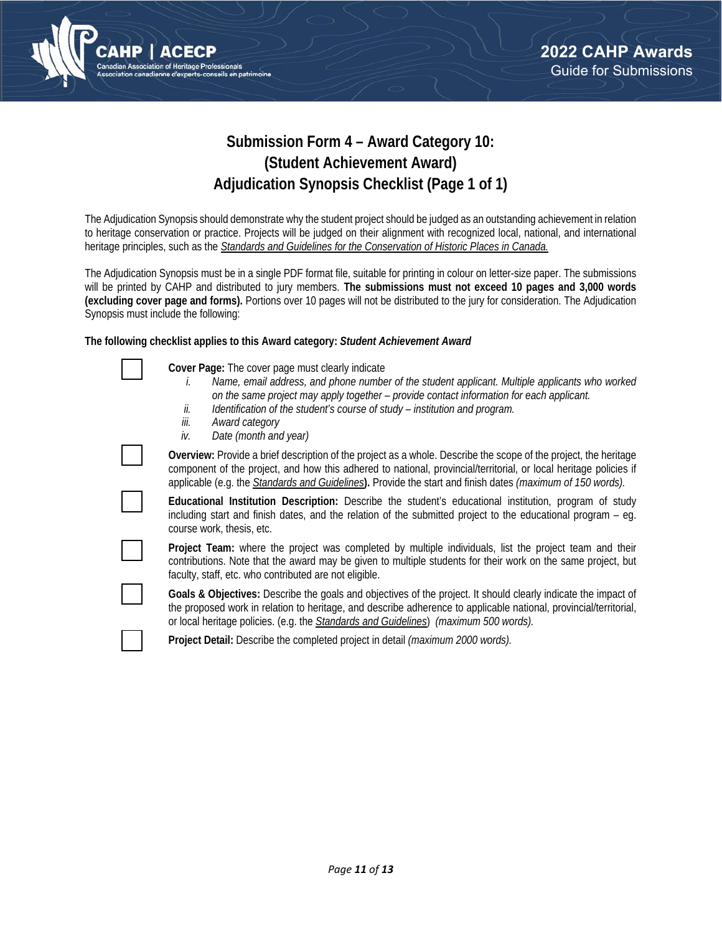

## **Submission Form 4 – Award Category 10: (Student Achievement Award) Adjudication Synopsis Checklist (Page 1 of 1)**

The Adjudication Synopsis should demonstrate why the student project should be judged as an outstanding achievement in relation to heritage conservation or practice. Projects will be judged on their alignment with recognized local, national, and international heritage principles, such as the *Standards and Guidelines for the Conservation of Historic Places in Canada.*

The Adjudication Synopsis must be in a single PDF format file, suitable for printing in colour on letter-size paper. The submissions will be printed by CAHP and distributed to jury members. **The submissions must not exceed 10 pages and 3,000 words (excluding cover page and forms).** Portions over 10 pages will not be distributed to the jury for consideration. The Adjudication Synopsis must include the following:

### **The following checklist applies to this Award category:** *Student Achievement Award*

|  |  | Cover Page: The cover page must clearly indicate |  |
|--|--|--------------------------------------------------|--|
|  |  | Name amail address and phana number              |  |

- *i. Name, email address, and phone number of the student applicant. Multiple applicants who worked on the same project may apply together – provide contact information for each applicant.*
- *ii. Identification of the student's course of study institution and program.*
- *iii. Award category*
- *iv. Date (month and year)*

**Overview:** Provide a brief description of the project as a whole. Describe the scope of the project, the heritage component of the project, and how this adhered to national, provincial/territorial, or local heritage policies if applicable (e.g. the *Standards and Guidelines***).** Provide the start and finish dates *(maximum of 150 words).*



**Project Team:** where the project was completed by multiple individuals, list the project team and their contributions. Note that the award may be given to multiple students for their work on the same project, but faculty, staff, etc. who contributed are not eligible.

**Goals & Objectives:** Describe the goals and objectives of the project. It should clearly indicate the impact of the proposed work in relation to heritage, and describe adherence to applicable national, provincial/territorial, or local heritage policies. (e.g. the *Standards and Guidelines*) *(maximum 500 words).*

**Project Detail:** Describe the completed project in detail *(maximum 2000 words).*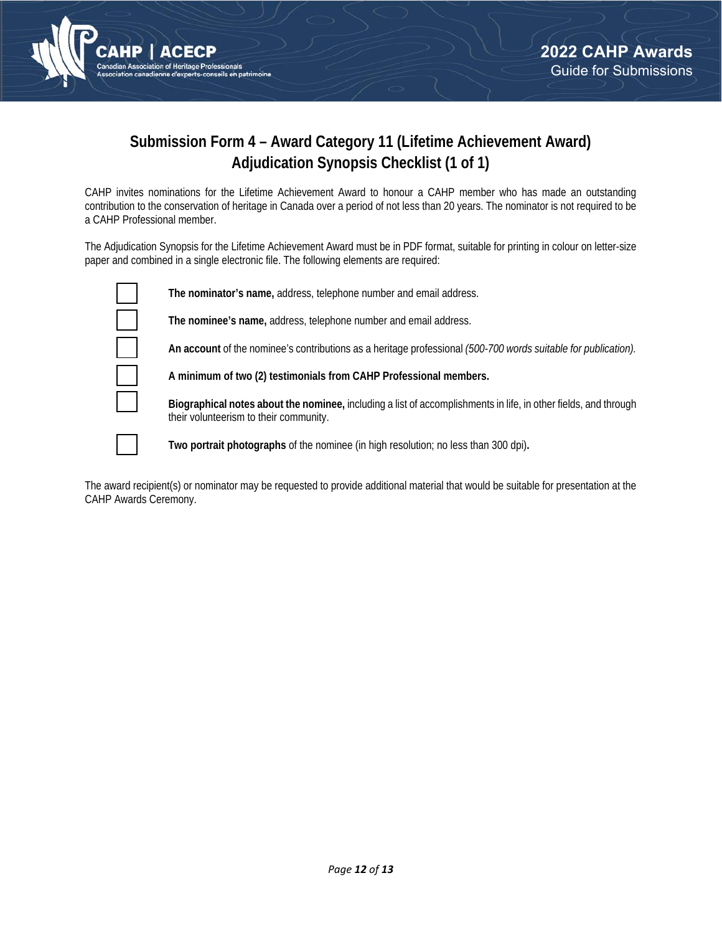

## **Submission Form 4 – Award Category 11 (Lifetime Achievement Award) Adjudication Synopsis Checklist (1 of 1)**

CAHP invites nominations for the Lifetime Achievement Award to honour a CAHP member who has made an outstanding contribution to the conservation of heritage in Canada over a period of not less than 20 years. The nominator is not required to be a CAHP Professional member.

The Adjudication Synopsis for the Lifetime Achievement Award must be in PDF format, suitable for printing in colour on letter-size paper and combined in a single electronic file. The following elements are required:



**The nominator's name,** address, telephone number and email address.

**The nominee's name,** address, telephone number and email address.

**An account** of the nominee's contributions as a heritage professional *(500-700 words suitable for publication).* 

**Biographical notes about the nominee,** including a list of accomplishments in life, in other fields, and through

**A minimum of two (2) testimonials from CAHP Professional members.**

their volunteerism to their community.

**Two portrait photographs** of the nominee (in high resolution; no less than 300 dpi)**.**

The award recipient(s) or nominator may be requested to provide additional material that would be suitable for presentation at the CAHP Awards Ceremony.